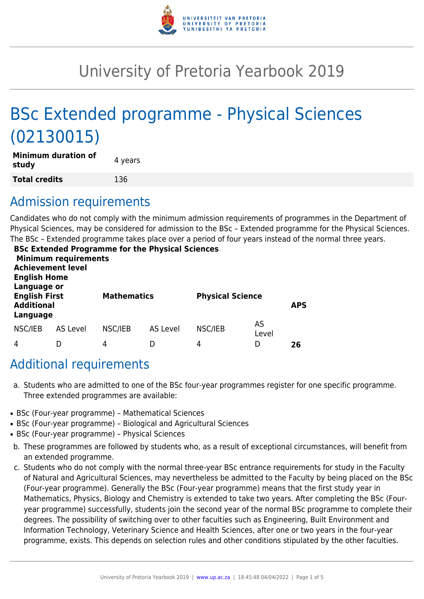

# University of Pretoria Yearbook 2019

# BSc Extended programme - Physical Sciences (02130015)

| <b>Minimum duration of</b><br>study | 4 years |
|-------------------------------------|---------|
| <b>Total credits</b>                | 136     |

# Admission requirements

Candidates who do not comply with the minimum admission requirements of programmes in the Department of Physical Sciences, may be considered for admission to the BSc – Extended programme for the Physical Sciences. The BSc – Extended programme takes place over a period of four years instead of the normal three years.

| <b>English Home</b>                                                  | <b>Minimum requirements</b><br><b>Achievement level</b> |         | <b>BSc Extended Programme for the Physical Sciences</b> |         |                         |    |
|----------------------------------------------------------------------|---------------------------------------------------------|---------|---------------------------------------------------------|---------|-------------------------|----|
| Language or<br><b>English First</b><br><b>Additional</b><br>Language |                                                         |         | <b>Mathematics</b>                                      |         | <b>Physical Science</b> |    |
| NSC/IEB                                                              | <b>AS Level</b>                                         | NSC/IEB | <b>AS Level</b>                                         | NSC/IEB | AS<br>Level             |    |
| 4                                                                    |                                                         | 4       | D                                                       | 4       | D                       | 26 |

# Additional requirements

- a. Students who are admitted to one of the BSc four-year programmes register for one specific programme. Three extended programmes are available:
- BSc (Four-year programme) Mathematical Sciences
- BSc (Four-year programme) Biological and Agricultural Sciences
- BSc (Four-year programme) Physical Sciences
- b. These programmes are followed by students who, as a result of exceptional circumstances, will benefit from an extended programme.
- c. Students who do not comply with the normal three-year BSc entrance requirements for study in the Faculty of Natural and Agricultural Sciences, may nevertheless be admitted to the Faculty by being placed on the BSc (Four-year programme). Generally the BSc (Four-year programme) means that the first study year in Mathematics, Physics, Biology and Chemistry is extended to take two years. After completing the BSc (Fouryear programme) successfully, students join the second year of the normal BSc programme to complete their degrees. The possibility of switching over to other faculties such as Engineering, Built Environment and Information Technology, Veterinary Science and Health Sciences, after one or two years in the four-year programme, exists. This depends on selection rules and other conditions stipulated by the other faculties.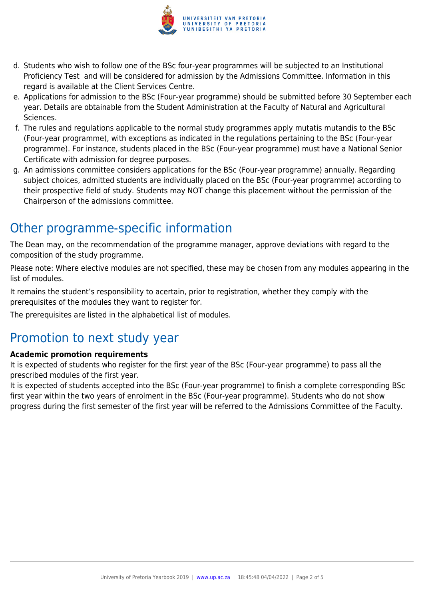

- d. Students who wish to follow one of the BSc four-year programmes will be subjected to an Institutional Proficiency Test and will be considered for admission by the Admissions Committee. Information in this regard is available at the Client Services Centre.
- e. Applications for admission to the BSc (Four-year programme) should be submitted before 30 September each year. Details are obtainable from the Student Administration at the Faculty of Natural and Agricultural Sciences.
- f. The rules and regulations applicable to the normal study programmes apply mutatis mutandis to the BSc (Four-year programme), with exceptions as indicated in the regulations pertaining to the BSc (Four-year programme). For instance, students placed in the BSc (Four-year programme) must have a National Senior Certificate with admission for degree purposes.
- g. An admissions committee considers applications for the BSc (Four-year programme) annually. Regarding subject choices, admitted students are individually placed on the BSc (Four-year programme) according to their prospective field of study. Students may NOT change this placement without the permission of the Chairperson of the admissions committee.

# Other programme-specific information

The Dean may, on the recommendation of the programme manager, approve deviations with regard to the composition of the study programme.

Please note: Where elective modules are not specified, these may be chosen from any modules appearing in the list of modules.

It remains the student's responsibility to acertain, prior to registration, whether they comply with the prerequisites of the modules they want to register for.

The prerequisites are listed in the alphabetical list of modules.

# Promotion to next study year

### **Academic promotion requirements**

It is expected of students who register for the first year of the BSc (Four-year programme) to pass all the prescribed modules of the first year.

It is expected of students accepted into the BSc (Four-year programme) to finish a complete corresponding BSc first year within the two years of enrolment in the BSc (Four-year programme). Students who do not show progress during the first semester of the first year will be referred to the Admissions Committee of the Faculty.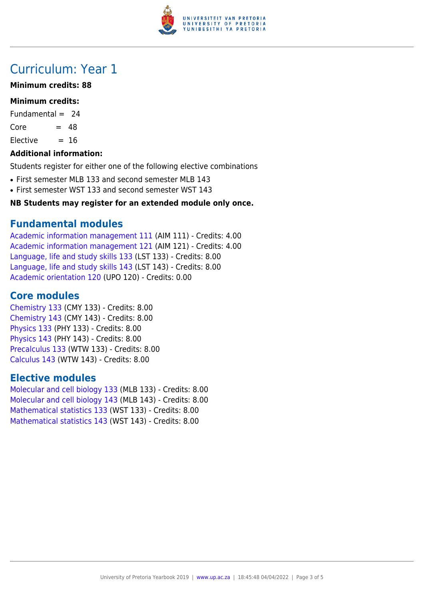

# Curriculum: Year 1

### **Minimum credits: 88**

### **Minimum credits:**

Fundamental  $= 24$ 

 $Core = 48$ 

 $Electric = 16$ 

### **Additional information:**

Students register for either one of the following elective combinations

- First semester MLB 133 and second semester MLB 143
- First semester WST 133 and second semester WST 143

### **NB Students may register for an extended module only once.**

# **Fundamental modules**

[Academic information management 111](https://www.up.ac.za/yearbooks/2019/modules/view/AIM 111) (AIM 111) - Credits: 4.00 [Academic information management 121](https://www.up.ac.za/yearbooks/2019/modules/view/AIM 121) (AIM 121) - Credits: 4.00 [Language, life and study skills 133](https://www.up.ac.za/yearbooks/2019/modules/view/LST 133) (LST 133) - Credits: 8.00 [Language, life and study skills 143](https://www.up.ac.za/yearbooks/2019/modules/view/LST 143) (LST 143) - Credits: 8.00 [Academic orientation 120](https://www.up.ac.za/yearbooks/2019/modules/view/UPO 120) (UPO 120) - Credits: 0.00

# **Core modules**

[Chemistry 133](https://www.up.ac.za/yearbooks/2019/modules/view/CMY 133) (CMY 133) - Credits: 8.00 [Chemistry 143](https://www.up.ac.za/yearbooks/2019/modules/view/CMY 143) (CMY 143) - Credits: 8.00 [Physics 133](https://www.up.ac.za/yearbooks/2019/modules/view/PHY 133) (PHY 133) - Credits: 8.00 [Physics 143](https://www.up.ac.za/yearbooks/2019/modules/view/PHY 143) (PHY 143) - Credits: 8.00 [Precalculus 133](https://www.up.ac.za/yearbooks/2019/modules/view/WTW 133) (WTW 133) - Credits: 8.00 [Calculus 143](https://www.up.ac.za/yearbooks/2019/modules/view/WTW 143) (WTW 143) - Credits: 8.00

# **Elective modules**

[Molecular and cell biology 133](https://www.up.ac.za/yearbooks/2019/modules/view/MLB 133) (MLB 133) - Credits: 8.00 [Molecular and cell biology 143](https://www.up.ac.za/yearbooks/2019/modules/view/MLB 143) (MLB 143) - Credits: 8.00 [Mathematical statistics 133](https://www.up.ac.za/yearbooks/2019/modules/view/WST 133) (WST 133) - Credits: 8.00 [Mathematical statistics 143](https://www.up.ac.za/yearbooks/2019/modules/view/WST 143) (WST 143) - Credits: 8.00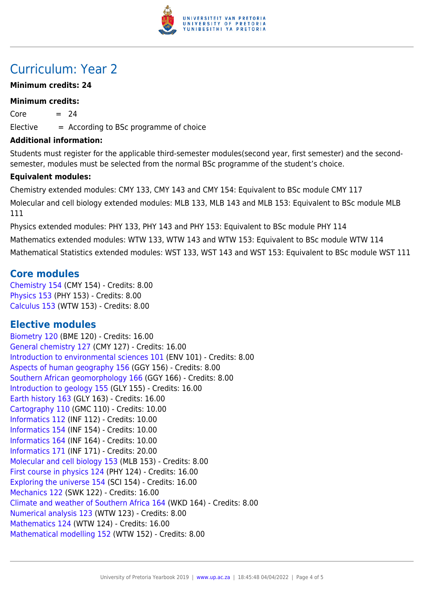

# Curriculum: Year 2

### **Minimum credits: 24**

#### **Minimum credits:**

 $Core = 24$ 

 $E$ lective  $=$  According to BSc programme of choice

#### **Additional information:**

Students must register for the applicable third-semester modules(second year, first semester) and the secondsemester, modules must be selected from the normal BSc programme of the student's choice.

### **Equivalent modules:**

Chemistry extended modules: CMY 133, CMY 143 and CMY 154: Equivalent to BSc module CMY 117 Molecular and cell biology extended modules: MLB 133, MLB 143 and MLB 153: Equivalent to BSc module MLB 111

Physics extended modules: PHY 133, PHY 143 and PHY 153: Equivalent to BSc module PHY 114 Mathematics extended modules: WTW 133, WTW 143 and WTW 153: Equivalent to BSc module WTW 114 Mathematical Statistics extended modules: WST 133, WST 143 and WST 153: Equivalent to BSc module WST 111

# **Core modules**

[Chemistry 154](https://www.up.ac.za/yearbooks/2019/modules/view/CMY 154) (CMY 154) - Credits: 8.00 [Physics 153](https://www.up.ac.za/yearbooks/2019/modules/view/PHY 153) (PHY 153) - Credits: 8.00 [Calculus 153](https://www.up.ac.za/yearbooks/2019/modules/view/WTW 153) (WTW 153) - Credits: 8.00

# **Elective modules**

[Biometry 120](https://www.up.ac.za/yearbooks/2019/modules/view/BME 120) (BME 120) - Credits: 16.00 [General chemistry 127](https://www.up.ac.za/yearbooks/2019/modules/view/CMY 127) (CMY 127) - Credits: 16.00 [Introduction to environmental sciences 101](https://www.up.ac.za/yearbooks/2019/modules/view/ENV 101) (ENV 101) - Credits: 8.00 [Aspects of human geography 156](https://www.up.ac.za/yearbooks/2019/modules/view/GGY 156) (GGY 156) - Credits: 8.00 [Southern African geomorphology 166](https://www.up.ac.za/yearbooks/2019/modules/view/GGY 166) (GGY 166) - Credits: 8.00 [Introduction to geology 155](https://www.up.ac.za/yearbooks/2019/modules/view/GLY 155) (GLY 155) - Credits: 16.00 [Earth history 163](https://www.up.ac.za/yearbooks/2019/modules/view/GLY 163) (GLY 163) - Credits: 16.00 [Cartography 110](https://www.up.ac.za/yearbooks/2019/modules/view/GMC 110) (GMC 110) - Credits: 10.00 [Informatics 112](https://www.up.ac.za/yearbooks/2019/modules/view/INF 112) (INF 112) - Credits: 10.00 [Informatics 154](https://www.up.ac.za/yearbooks/2019/modules/view/INF 154) (INF 154) - Credits: 10.00 [Informatics 164](https://www.up.ac.za/yearbooks/2019/modules/view/INF 164) (INF 164) - Credits: 10.00 [Informatics 171](https://www.up.ac.za/yearbooks/2019/modules/view/INF 171) (INF 171) - Credits: 20.00 [Molecular and cell biology 153](https://www.up.ac.za/yearbooks/2019/modules/view/MLB 153) (MLB 153) - Credits: 8.00 [First course in physics 124](https://www.up.ac.za/yearbooks/2019/modules/view/PHY 124) (PHY 124) - Credits: 16.00 [Exploring the universe 154](https://www.up.ac.za/yearbooks/2019/modules/view/SCI 154) (SCI 154) - Credits: 16.00 [Mechanics 122](https://www.up.ac.za/yearbooks/2019/modules/view/SWK 122) (SWK 122) - Credits: 16.00 [Climate and weather of Southern Africa 164](https://www.up.ac.za/yearbooks/2019/modules/view/WKD 164) (WKD 164) - Credits: 8.00 [Numerical analysis 123](https://www.up.ac.za/yearbooks/2019/modules/view/WTW 123) (WTW 123) - Credits: 8.00 [Mathematics 124](https://www.up.ac.za/yearbooks/2019/modules/view/WTW 124) (WTW 124) - Credits: 16.00 [Mathematical modelling 152](https://www.up.ac.za/yearbooks/2019/modules/view/WTW 152) (WTW 152) - Credits: 8.00